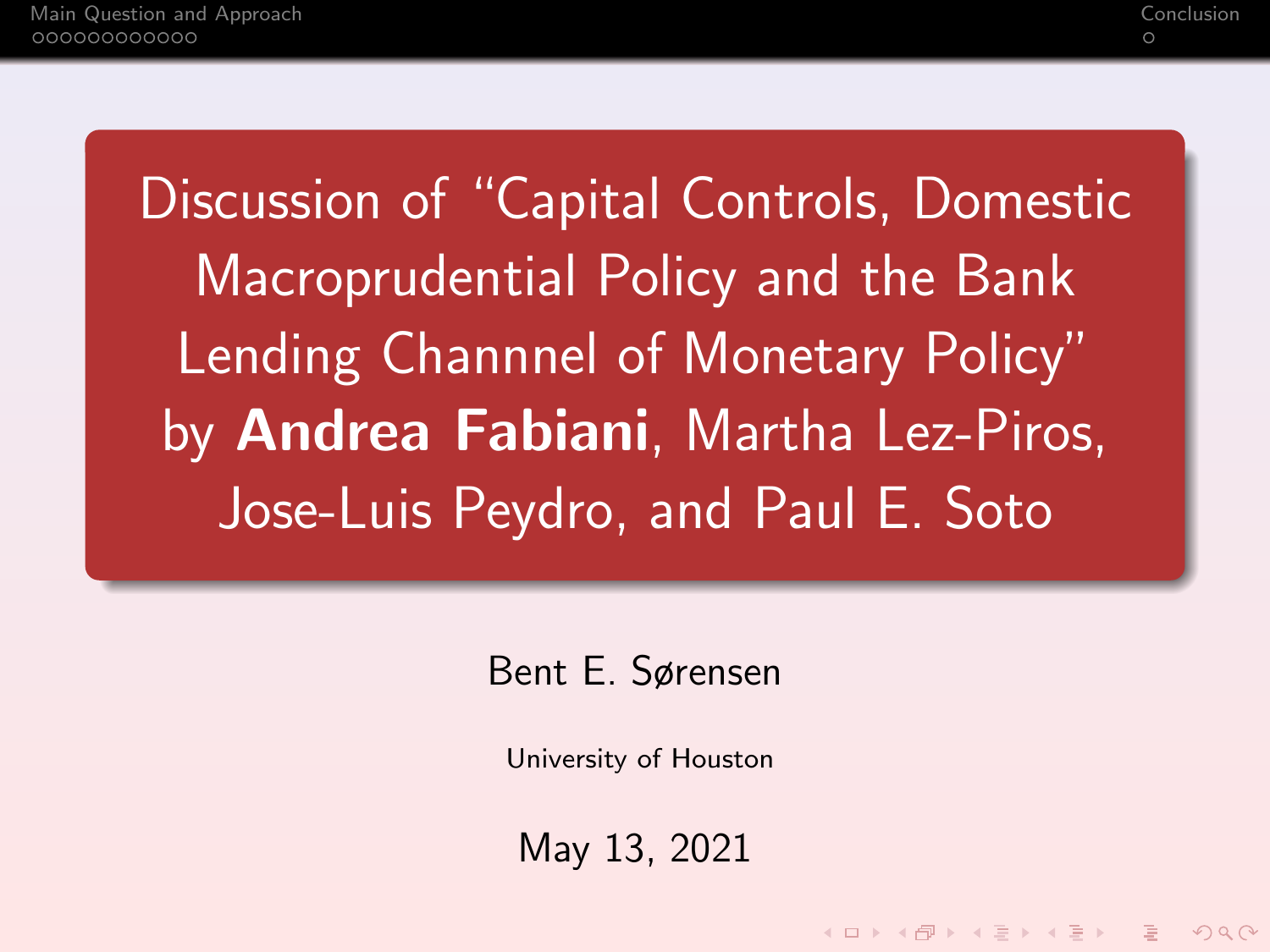Discussion of "Capital Controls, Domestic Macroprudential Policy and the Bank Lending Channnel of Monetary Policy" by Andrea Fabiani, Martha Lez-Piros, Jose-Luis Peydro, and Paul E. Soto

Bent E. Sørensen

University of Houston

May 13, 2021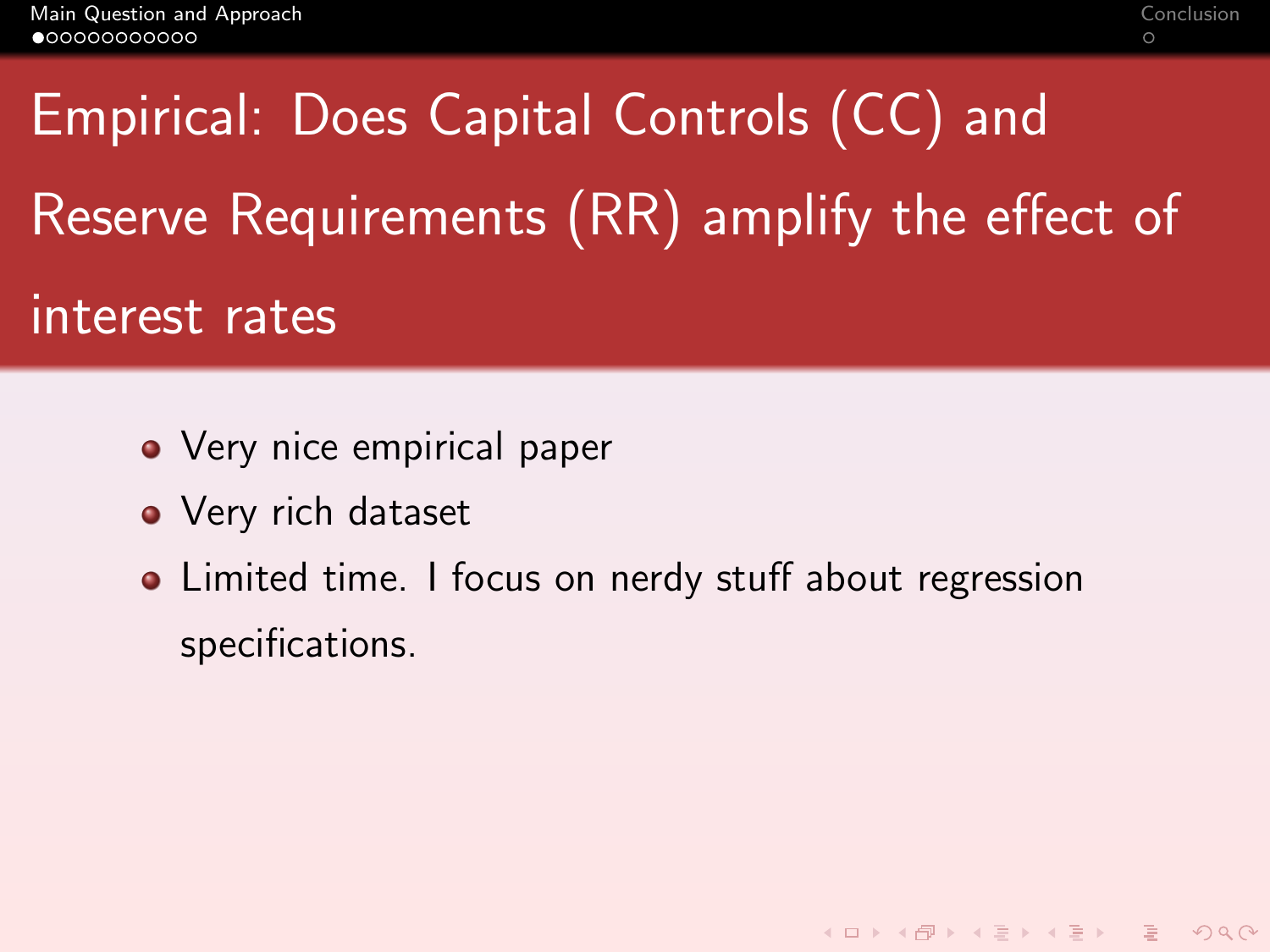# <span id="page-1-0"></span>Empirical: Does Capital Controls (CC) and Reserve Requirements (RR) amplify the effect of interest rates

- Very nice empirical paper
- Very rich dataset
- Limited time. I focus on nerdy stuff about regression specifications.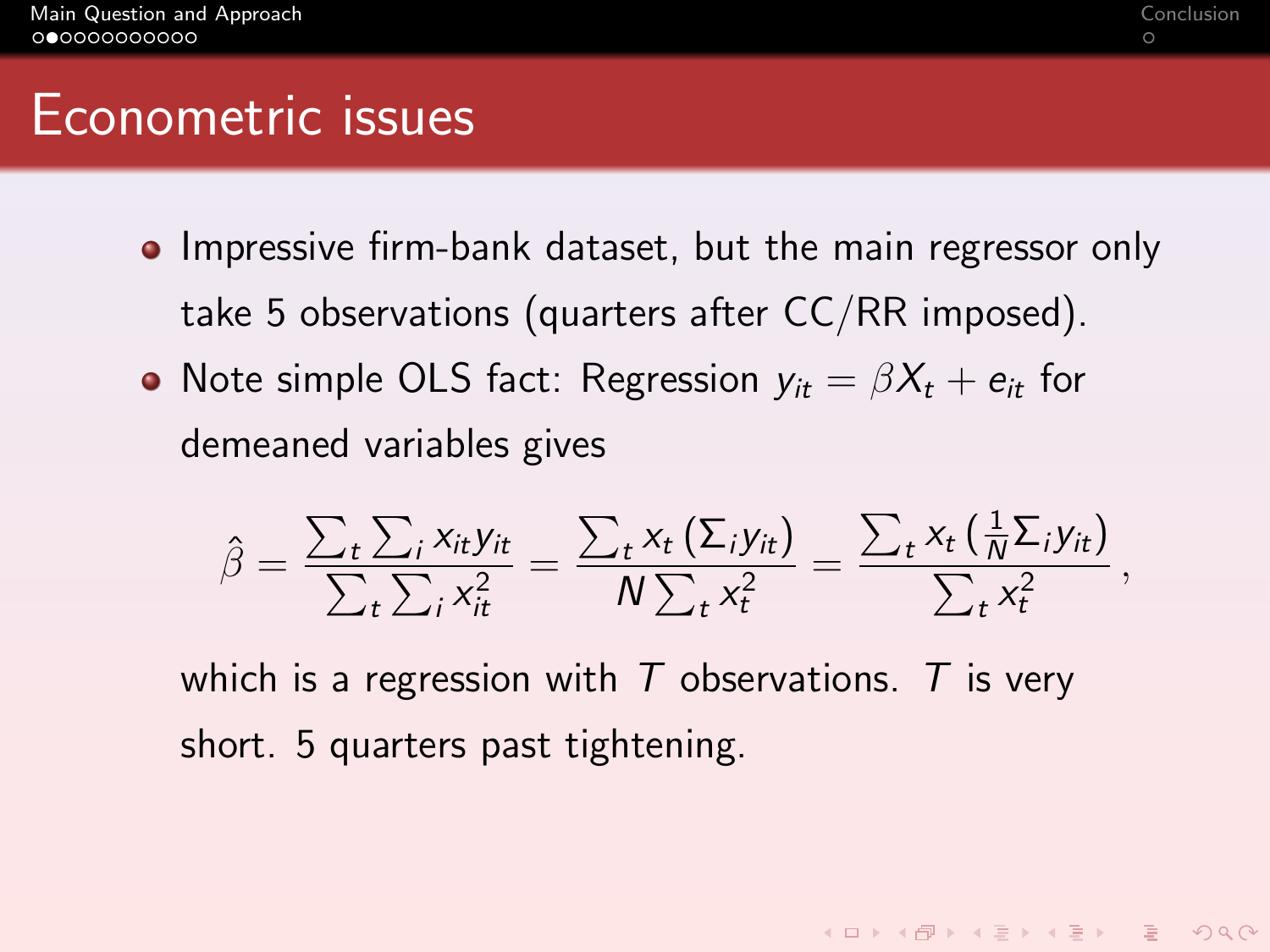#### Econometric issues

- **•** Impressive firm-bank dataset, but the main regressor only take 5 observations (quarters after CC/RR imposed).
- Note simple OLS fact: Regression  $v_{it} = \beta X_t + e_{it}$  for demeaned variables gives

$$
\hat{\beta} = \frac{\sum_t \sum_i x_{it} y_{it}}{\sum_t \sum_i x_{it}^2} = \frac{\sum_t x_t (\Sigma_i y_{it})}{N \sum_t x_t^2} = \frac{\sum_t x_t (\frac{1}{N} \Sigma_i y_{it})}{\sum_t x_t^2},
$$

which is a regression with T observations. T is very short. 5 quarters past tightening.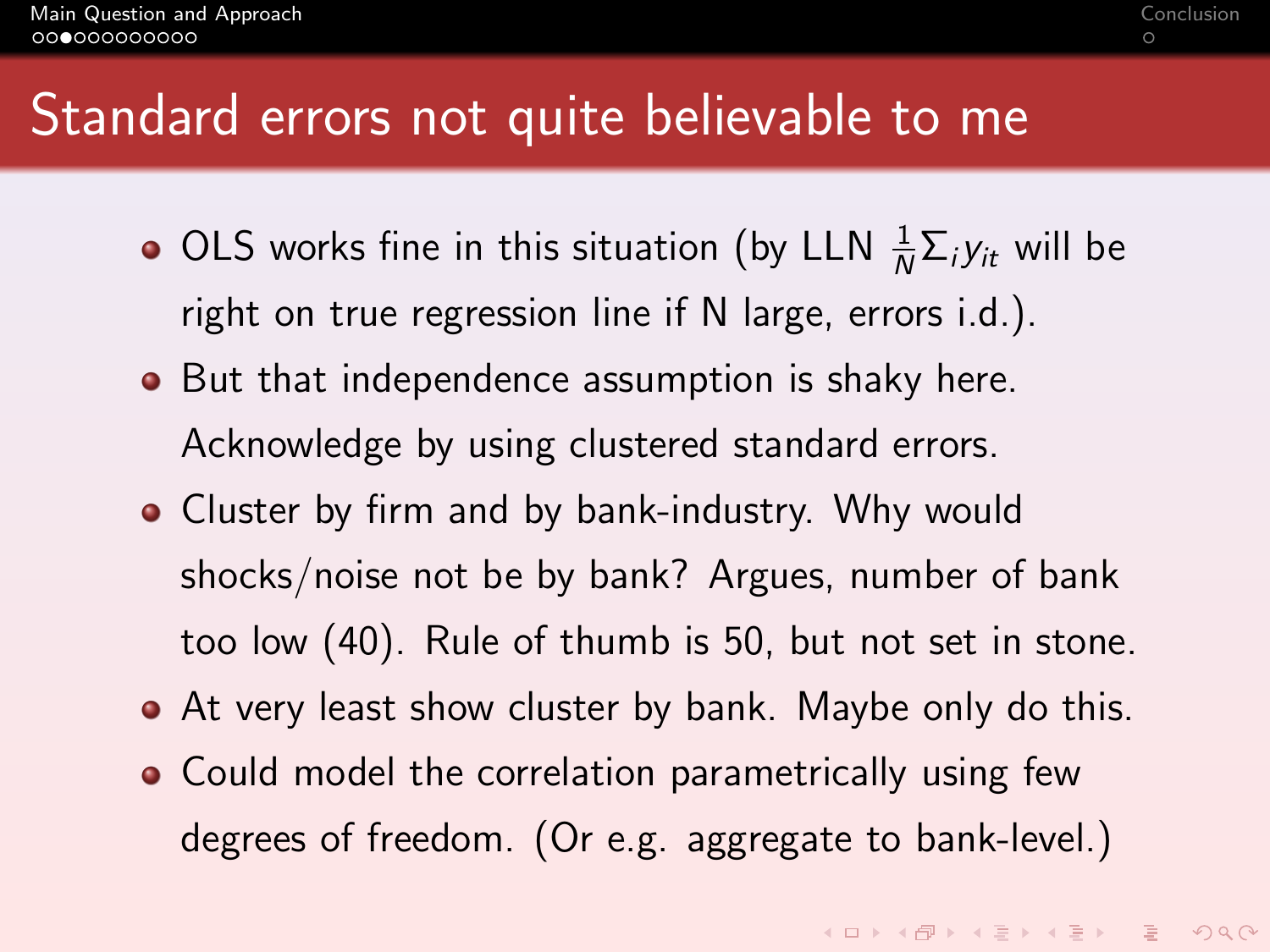## Standard errors not quite believable to me

- OLS works fine in this situation (by LLN  $\frac{1}{N}\Sigma_i y_{it}$  will be right on true regression line if N large, errors i.d.).
- But that independence assumption is shaky here. Acknowledge by using clustered standard errors.
- Cluster by firm and by bank-industry. Why would shocks/noise not be by bank? Argues, number of bank too low (40). Rule of thumb is 50, but not set in stone.
- At very least show cluster by bank. Maybe only do this.
- Could model the correlation parametrically using few degrees of freedom. (Or e.g. aggregate to bank-level.)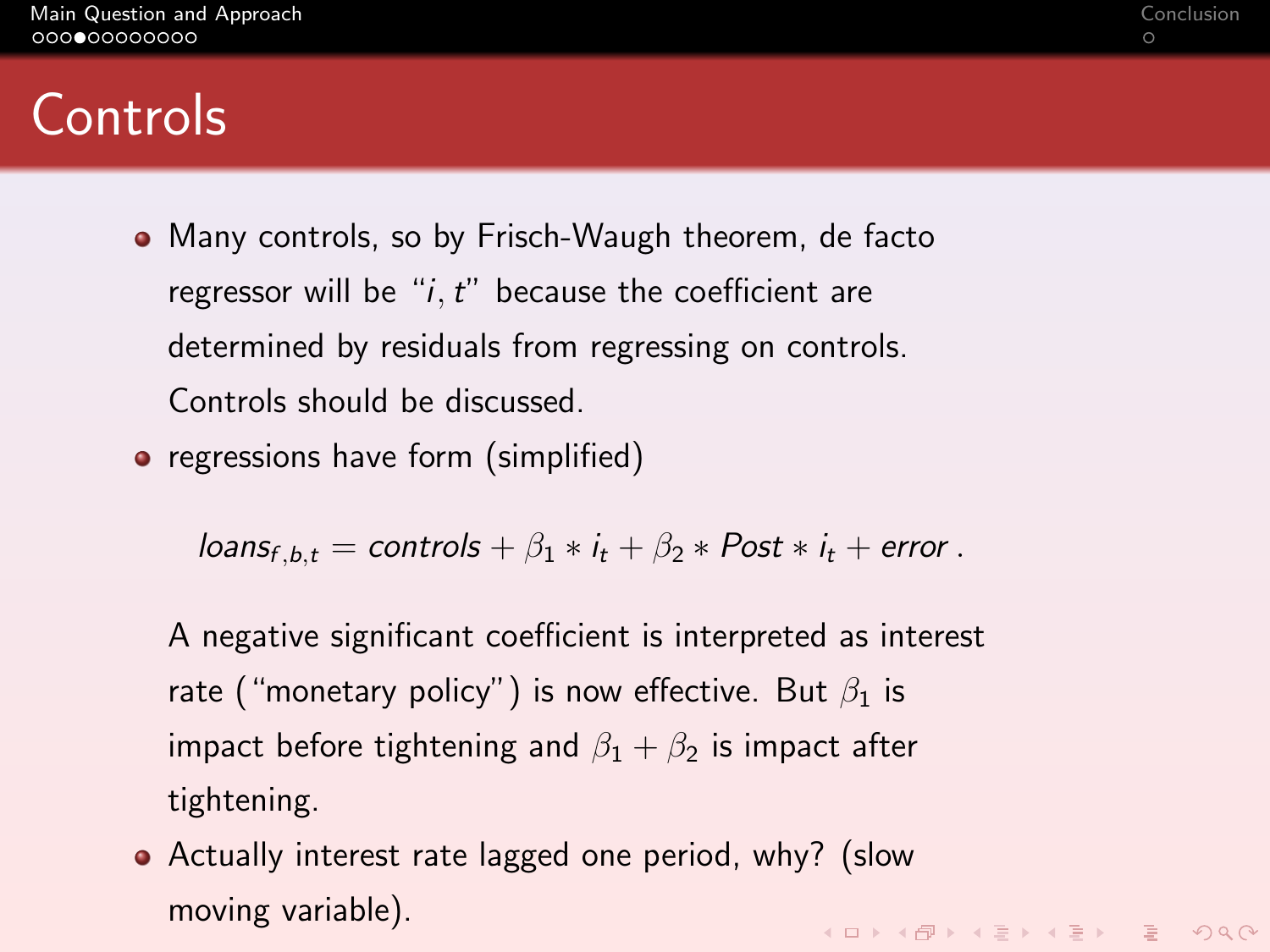# **Controls**

- Many controls, so by Frisch-Waugh theorem, de facto regressor will be " $i$ ,  $t$ " because the coefficient are determined by residuals from regressing on controls. Controls should be discussed.
- regressions have form (simplified)

 $loans<sub>f, b,t</sub> = controls +  $\beta_1 * i_t + \beta_2 * Post * i_t + error$ .$ 

- A negative significant coefficient is interpreted as interest rate ("monetary policy") is now effective. But  $\beta_1$  is impact before tightening and  $\beta_1 + \beta_2$  is impact after tightening.
- Actually interest rate lagged one period, why? (slow moving variable).K ロ X K (日 X K E X K E X X G X C K H E X Y Q Q C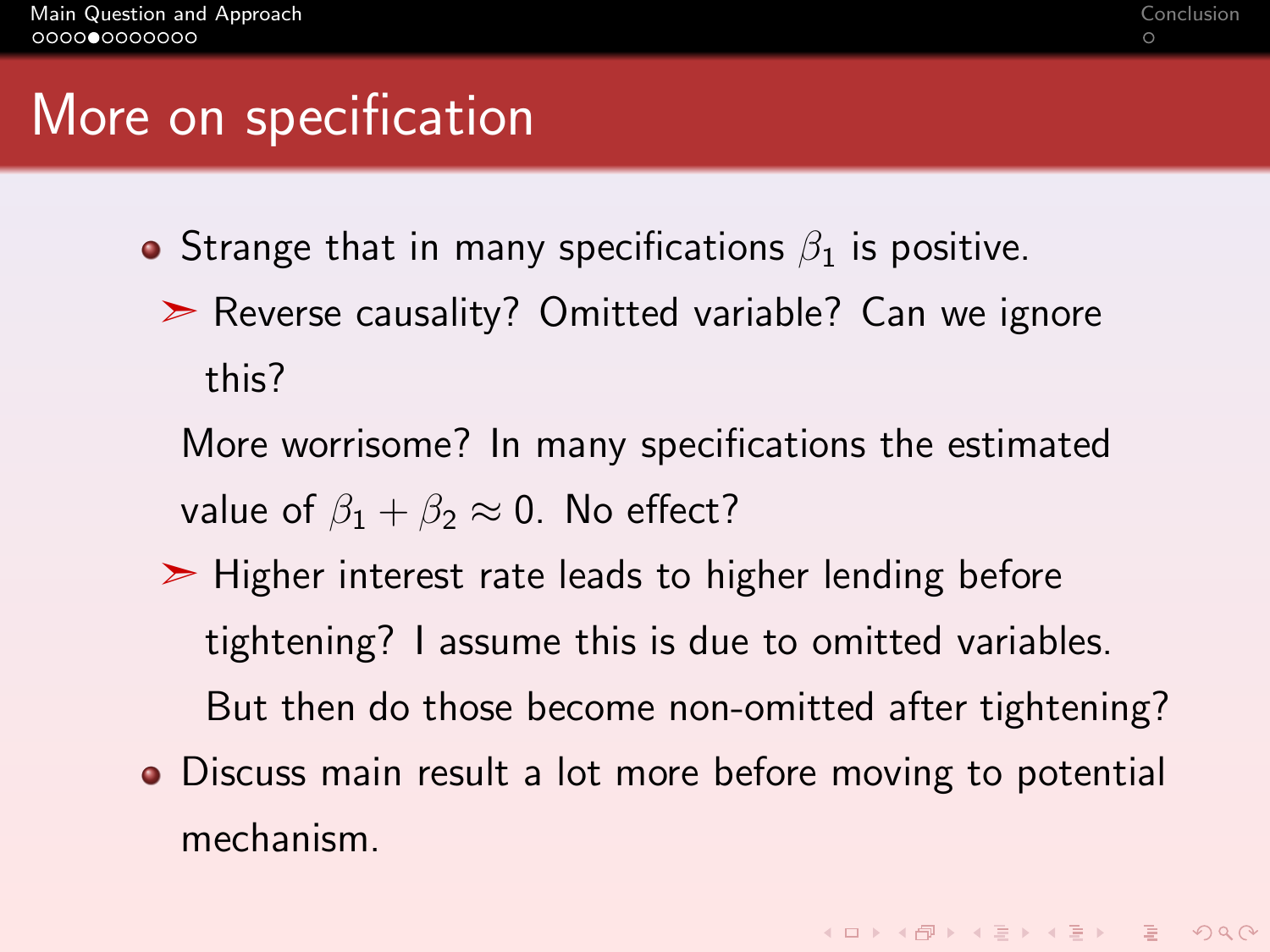### More on specification

- **•** Strange that in many specifications  $\beta_1$  is positive.
	- ➣ Reverse causality? Omitted variable? Can we ignore this?
		- More worrisome? In many specifications the estimated value of  $\beta_1 + \beta_2 \approx 0$ . No effect?
	- ➣ Higher interest rate leads to higher lending before tightening? I assume this is due to omitted variables. But then do those become non-omitted after tightening?
- Discuss main result a lot more before moving to potential mechanism.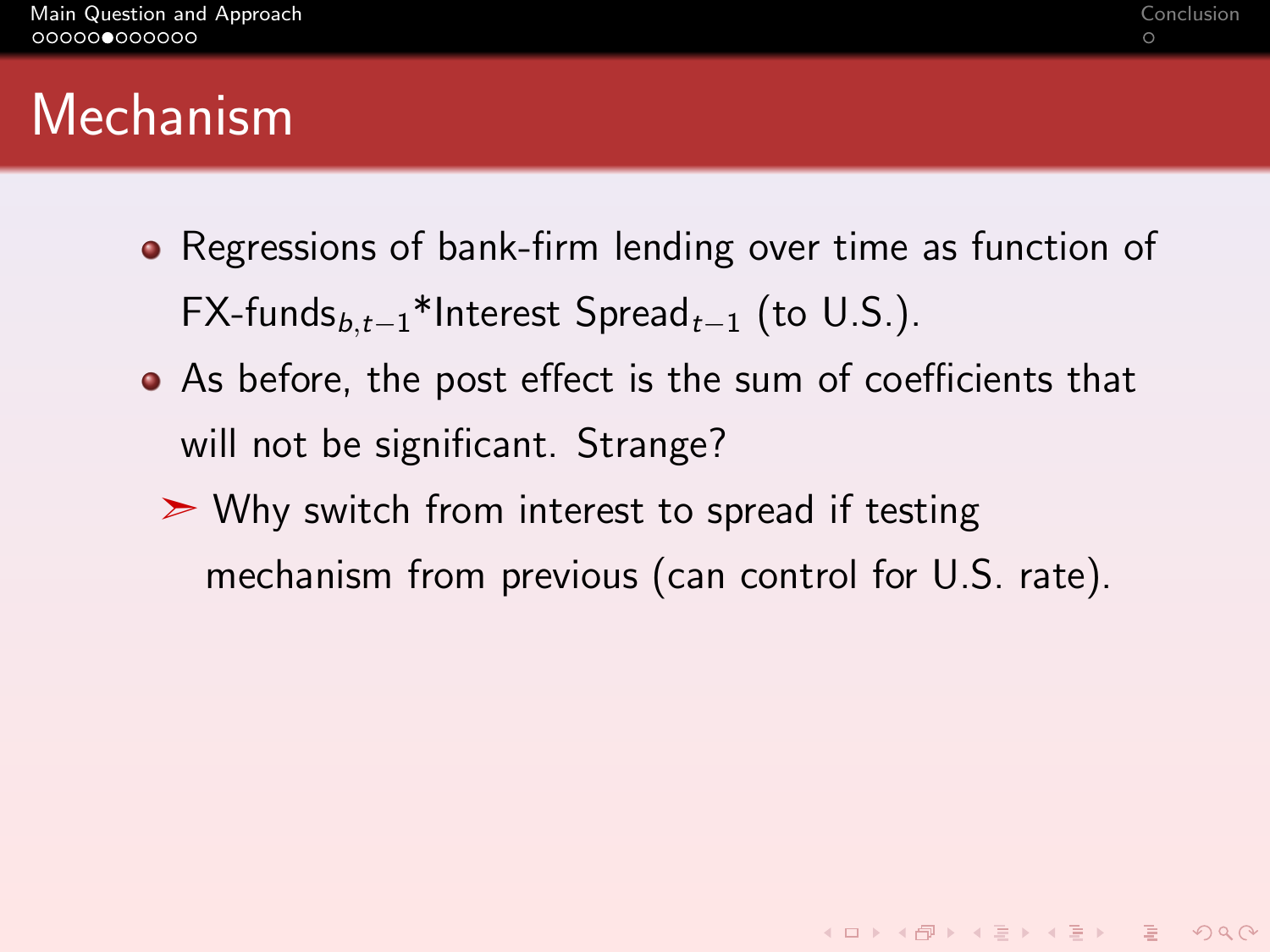**KORKAR KERKER SAGA** 

## <span id="page-6-0"></span>Mechanism

- Regressions of bank-firm lending over time as function of FX-funds $_{b,t-1}$ \*Interest Spread<sub>t−1</sub> (to U.S.).
- As before, the post effect is the sum of coefficients that will not be significant. Strange?
	- $\triangleright$  Why switch from interest to spread if testing mechanism from previous (can control for U.S. rate).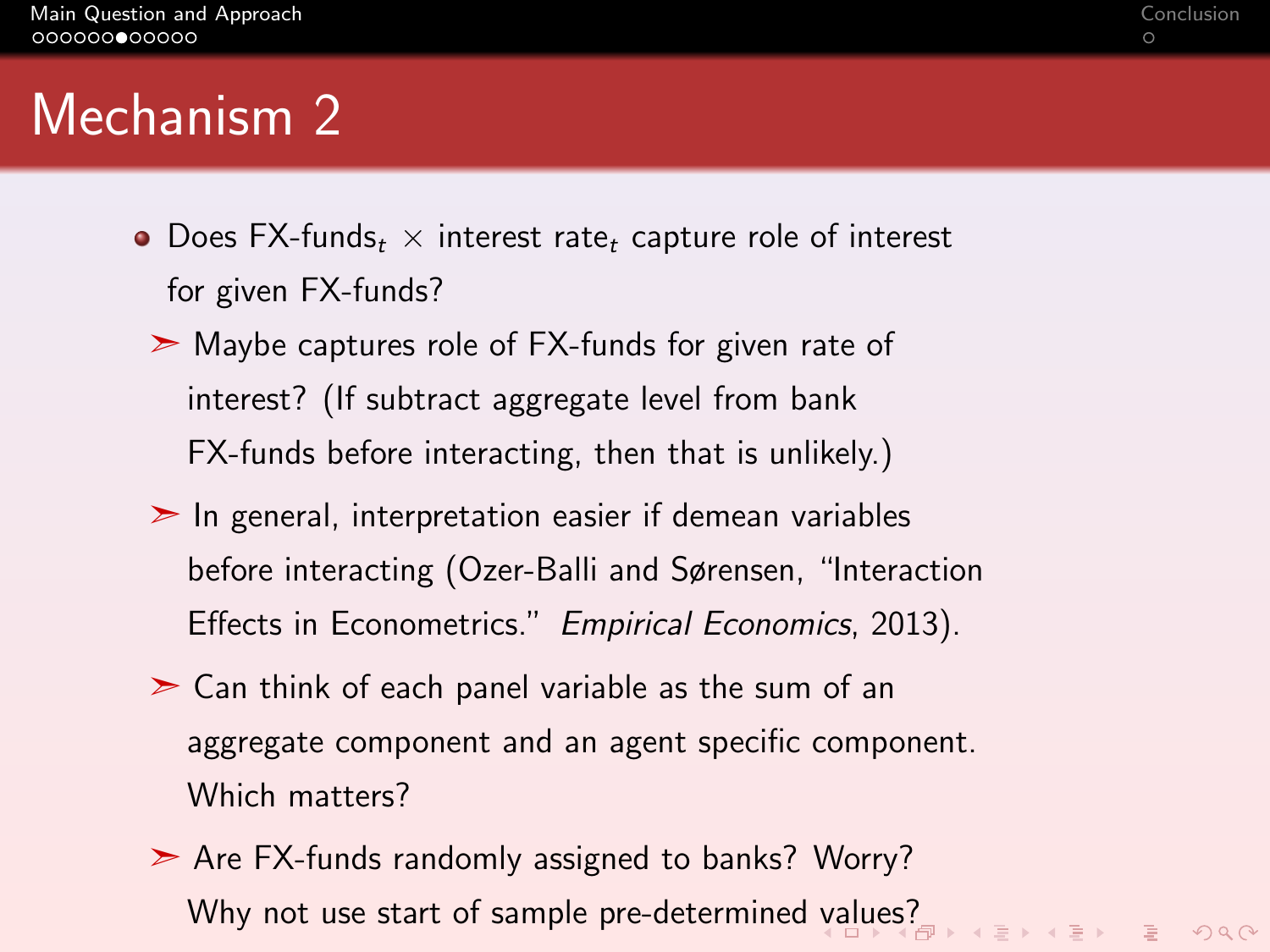## <span id="page-7-0"></span>Mechanism 2

- Does FX-funds<sub>t</sub>  $\times$  interest rate<sub>t</sub> capture role of interest for given FX-funds?
	- ➣ Maybe captures role of FX-funds for given rate of interest? (If subtract aggregate level from bank FX-funds before interacting, then that is unlikely.)
	- $\geq$  In general, interpretation easier if demean variables before interacting (Ozer-Balli and Sørensen, "Interaction Effects in Econometrics." Empirical Economics, 2013).
	- $\geq$  Can think of each panel variable as the sum of an aggregate component and an agent specific component. Which matters?
	- ➣ Are FX-funds randomly assigned to banks? Worry? Why not use start of sample pre-determined [va](#page-6-0)l[ue](#page-8-0)[s](#page-6-0)[?](#page-7-0)<br>
	Why not use start of sample pre-determined values?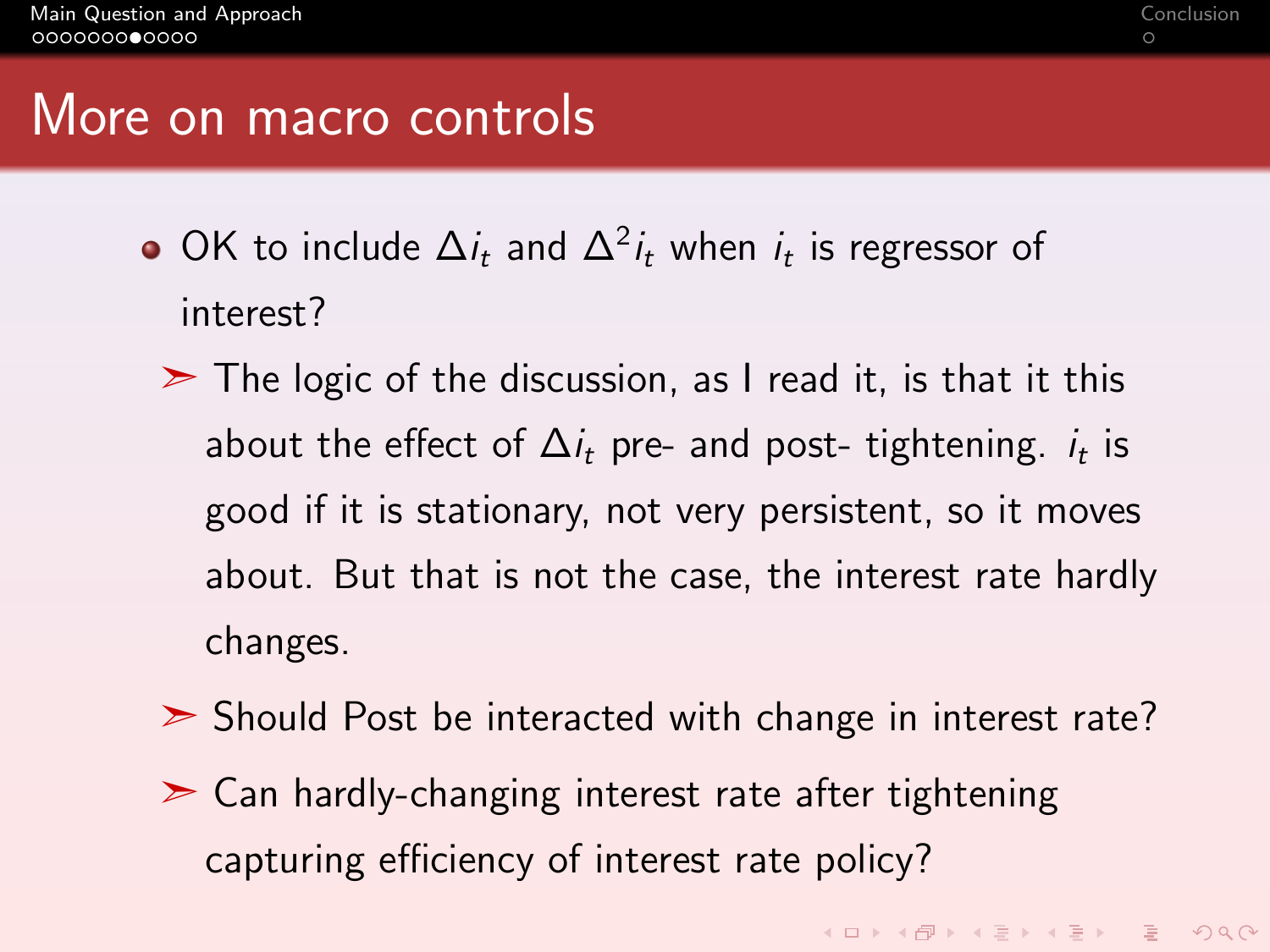#### <span id="page-8-0"></span>More on macro controls

- OK to include  $\Delta i_t$  and  $\Delta^2 i_t$  when  $i_t$  is regressor of interest?
	- $\geq$  The logic of the discussion, as I read it, is that it this about the effect of  $\Delta i_t$  pre- and post- tightening.  $i_t$  is good if it is stationary, not very persistent, so it moves about. But that is not the case, the interest rate hardly changes.
	- ► Should Post be interacted with change in interest rate?
	- $\geq$  Can hardly-changing interest rate after tightening capturing efficiency of interest rate policy?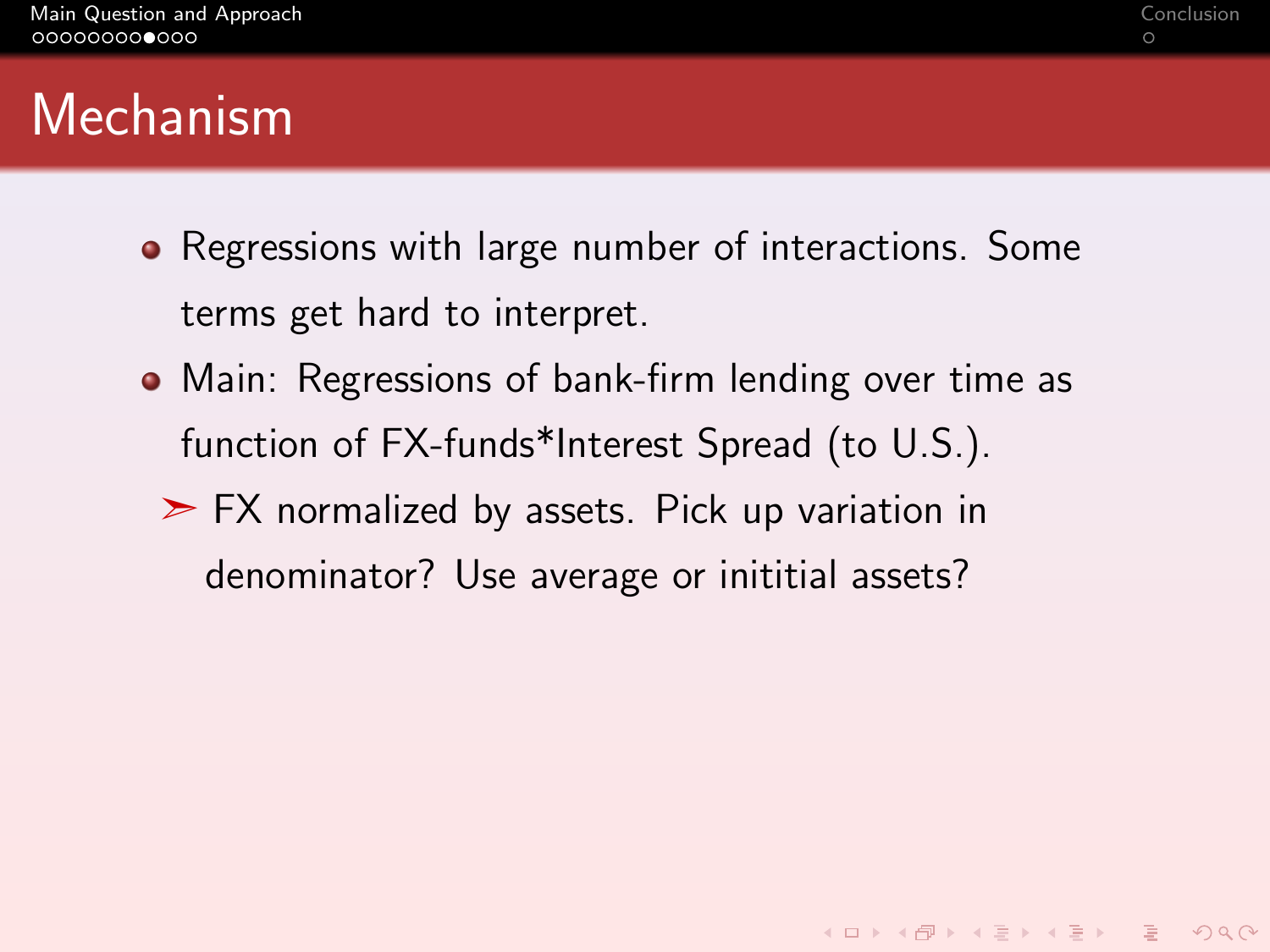## Mechanism

- Regressions with large number of interactions. Some terms get hard to interpret.
- Main: Regressions of bank-firm lending over time as function of FX-funds\*Interest Spread (to U.S.).
	- $\triangleright$  FX normalized by assets. Pick up variation in denominator? Use average or inititial assets?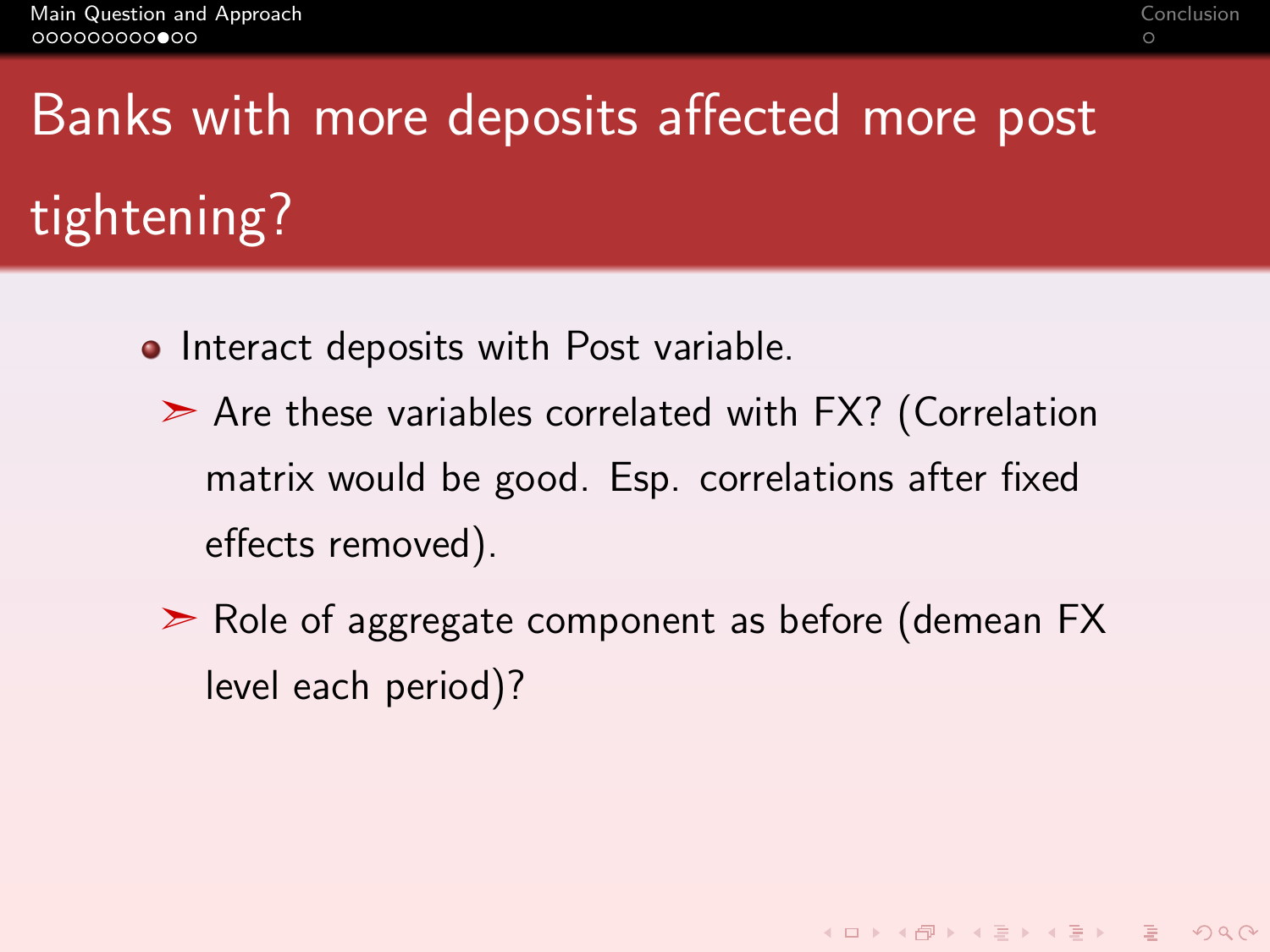# Banks with more deposits affected more post tightening?

- Interact deposits with Post variable.
	- $\geq$  Are these variables correlated with FX? (Correlation matrix would be good. Esp. correlations after fixed effects removed).
	- ➣ Role of aggregate component as before (demean FX level each period)?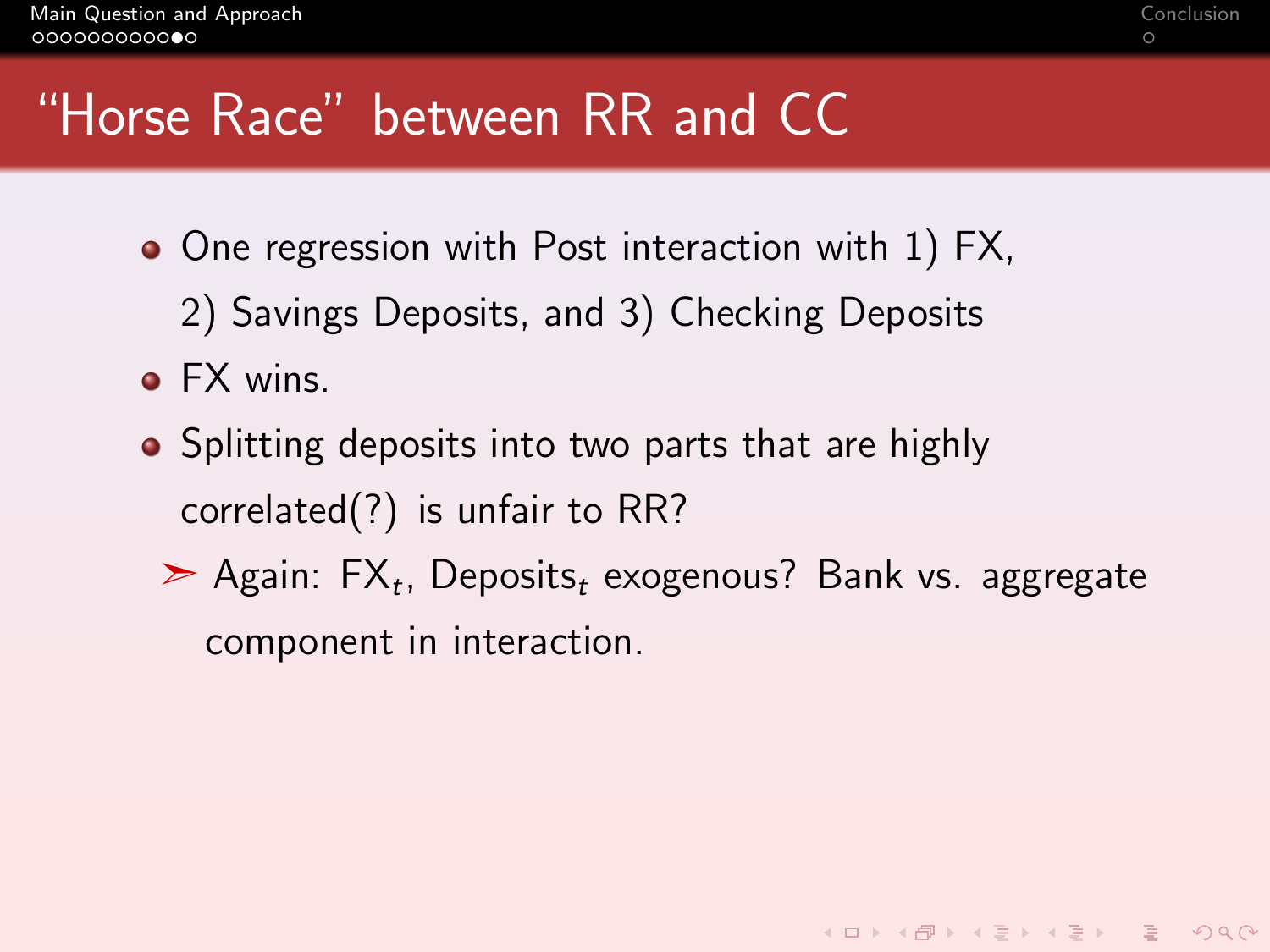# "Horse Race" between RR and CC

- One regression with Post interaction with 1) FX,
	- 2) Savings Deposits, and 3) Checking Deposits
- **FX wins.**
- Splitting deposits into two parts that are highly correlated(?) is unfair to RR?
	- $\triangleright$  Again: FX<sub>t</sub>, Deposits<sub>t</sub> exogenous? Bank vs. aggregate component in interaction.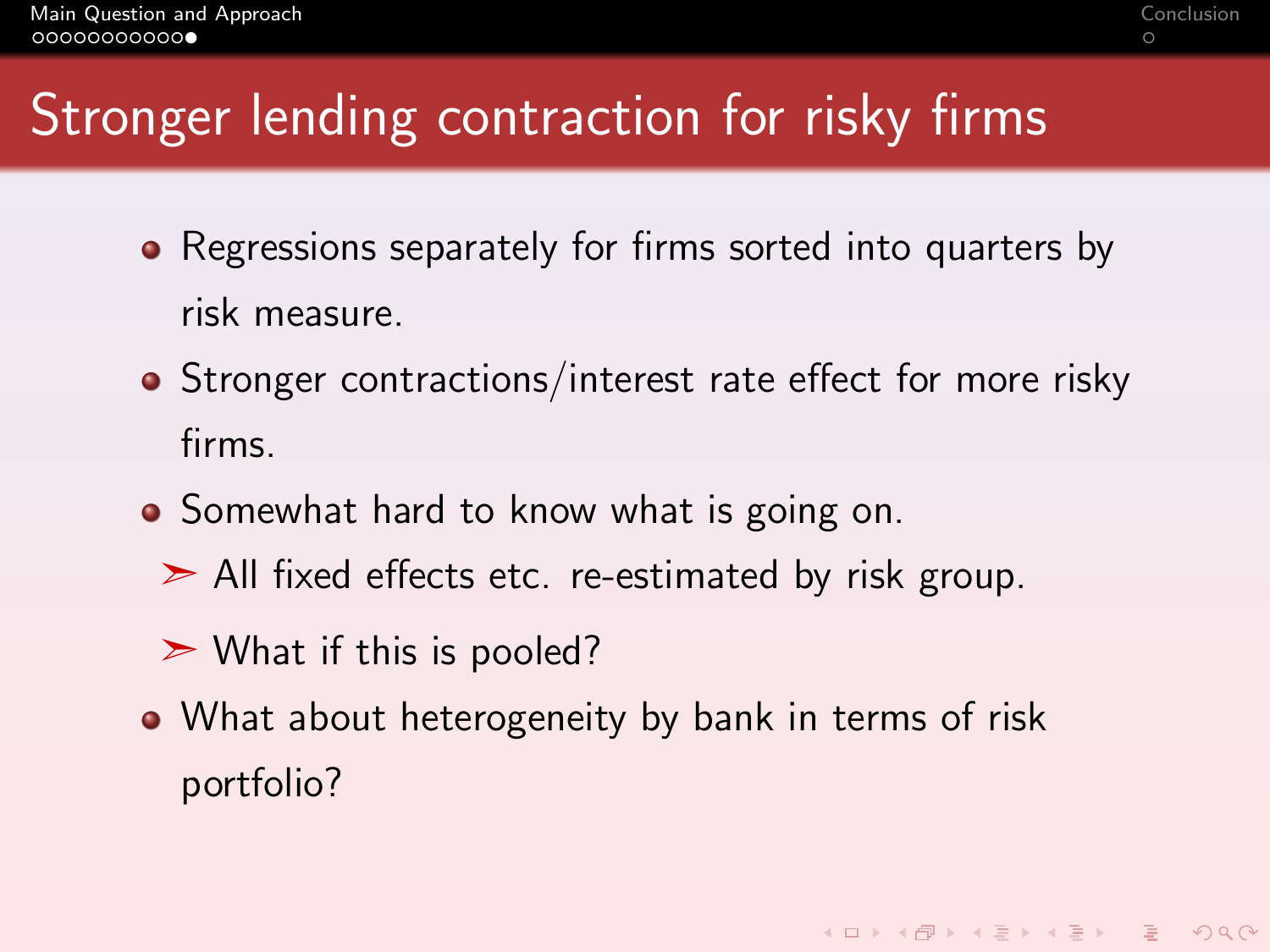# Stronger lending contraction for risky firms

- Regressions separately for firms sorted into quarters by risk measure.
- Stronger contractions/interest rate effect for more risky firms.
- Somewhat hard to know what is going on.
	- $\geq$  All fixed effects etc. re-estimated by risk group.
	- $\triangleright$  What if this is pooled?
- What about heterogeneity by bank in terms of risk portfolio?